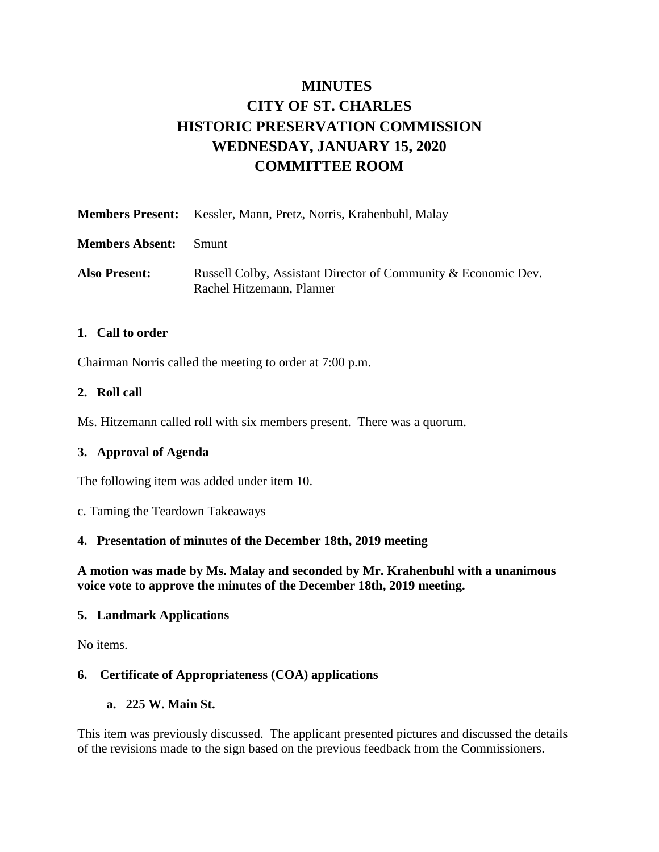# **MINUTES CITY OF ST. CHARLES HISTORIC PRESERVATION COMMISSION WEDNESDAY, JANUARY 15, 2020 COMMITTEE ROOM**

|                        | <b>Members Present:</b> Kessler, Mann, Pretz, Norris, Krahenbuhl, Malay                     |
|------------------------|---------------------------------------------------------------------------------------------|
| <b>Members Absent:</b> | – Smunt                                                                                     |
| <b>Also Present:</b>   | Russell Colby, Assistant Director of Community & Economic Dev.<br>Rachel Hitzemann, Planner |

#### **1. Call to order**

Chairman Norris called the meeting to order at 7:00 p.m.

#### **2. Roll call**

Ms. Hitzemann called roll with six members present. There was a quorum.

#### **3. Approval of Agenda**

The following item was added under item 10.

c. Taming the Teardown Takeaways

#### **4. Presentation of minutes of the December 18th, 2019 meeting**

**A motion was made by Ms. Malay and seconded by Mr. Krahenbuhl with a unanimous voice vote to approve the minutes of the December 18th, 2019 meeting.** 

#### **5. Landmark Applications**

No items.

#### **6. Certificate of Appropriateness (COA) applications**

#### **a. 225 W. Main St.**

This item was previously discussed. The applicant presented pictures and discussed the details of the revisions made to the sign based on the previous feedback from the Commissioners.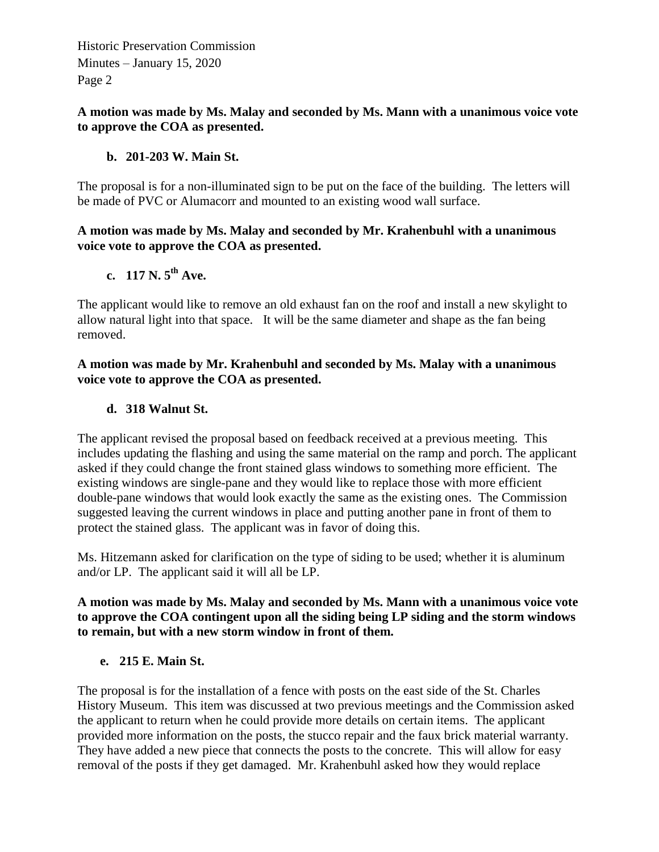Historic Preservation Commission Minutes – January 15, 2020 Page 2

#### **A motion was made by Ms. Malay and seconded by Ms. Mann with a unanimous voice vote to approve the COA as presented.**

#### **b. 201-203 W. Main St.**

The proposal is for a non-illuminated sign to be put on the face of the building. The letters will be made of PVC or Alumacorr and mounted to an existing wood wall surface.

#### **A motion was made by Ms. Malay and seconded by Mr. Krahenbuhl with a unanimous voice vote to approve the COA as presented.**

## **c. 117 N. 5th Ave.**

The applicant would like to remove an old exhaust fan on the roof and install a new skylight to allow natural light into that space. It will be the same diameter and shape as the fan being removed.

#### **A motion was made by Mr. Krahenbuhl and seconded by Ms. Malay with a unanimous voice vote to approve the COA as presented.**

## **d. 318 Walnut St.**

The applicant revised the proposal based on feedback received at a previous meeting. This includes updating the flashing and using the same material on the ramp and porch. The applicant asked if they could change the front stained glass windows to something more efficient. The existing windows are single-pane and they would like to replace those with more efficient double-pane windows that would look exactly the same as the existing ones. The Commission suggested leaving the current windows in place and putting another pane in front of them to protect the stained glass. The applicant was in favor of doing this.

Ms. Hitzemann asked for clarification on the type of siding to be used; whether it is aluminum and/or LP. The applicant said it will all be LP.

#### **A motion was made by Ms. Malay and seconded by Ms. Mann with a unanimous voice vote to approve the COA contingent upon all the siding being LP siding and the storm windows to remain, but with a new storm window in front of them.**

#### **e. 215 E. Main St.**

The proposal is for the installation of a fence with posts on the east side of the St. Charles History Museum. This item was discussed at two previous meetings and the Commission asked the applicant to return when he could provide more details on certain items. The applicant provided more information on the posts, the stucco repair and the faux brick material warranty. They have added a new piece that connects the posts to the concrete. This will allow for easy removal of the posts if they get damaged. Mr. Krahenbuhl asked how they would replace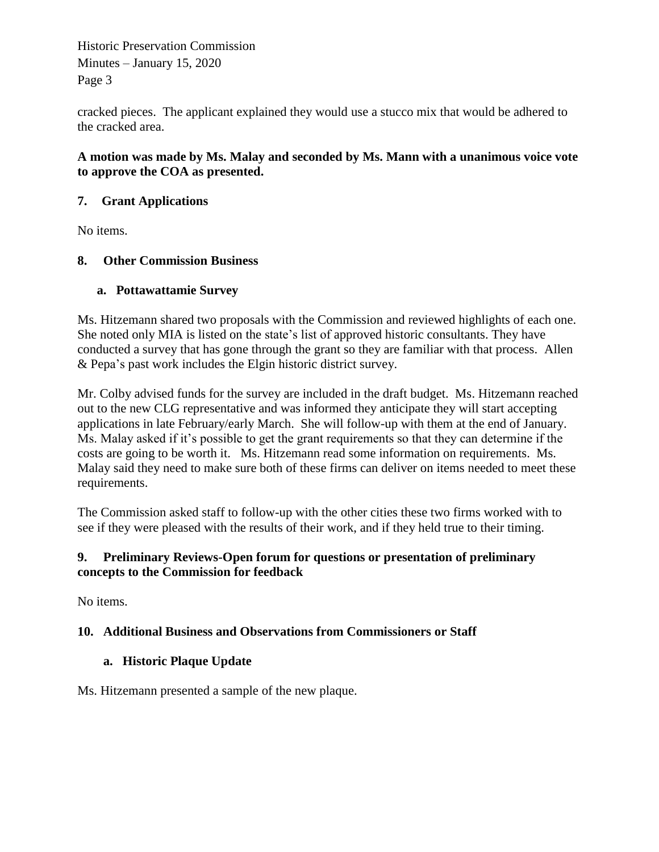Historic Preservation Commission Minutes – January 15, 2020 Page 3

cracked pieces. The applicant explained they would use a stucco mix that would be adhered to the cracked area.

#### **A motion was made by Ms. Malay and seconded by Ms. Mann with a unanimous voice vote to approve the COA as presented.**

## **7. Grant Applications**

No items.

## **8. Other Commission Business**

## **a. Pottawattamie Survey**

Ms. Hitzemann shared two proposals with the Commission and reviewed highlights of each one. She noted only MIA is listed on the state's list of approved historic consultants. They have conducted a survey that has gone through the grant so they are familiar with that process. Allen & Pepa's past work includes the Elgin historic district survey.

Mr. Colby advised funds for the survey are included in the draft budget. Ms. Hitzemann reached out to the new CLG representative and was informed they anticipate they will start accepting applications in late February/early March. She will follow-up with them at the end of January. Ms. Malay asked if it's possible to get the grant requirements so that they can determine if the costs are going to be worth it. Ms. Hitzemann read some information on requirements. Ms. Malay said they need to make sure both of these firms can deliver on items needed to meet these requirements.

The Commission asked staff to follow-up with the other cities these two firms worked with to see if they were pleased with the results of their work, and if they held true to their timing.

#### **9. Preliminary Reviews-Open forum for questions or presentation of preliminary concepts to the Commission for feedback**

No items.

## **10. Additional Business and Observations from Commissioners or Staff**

## **a. Historic Plaque Update**

Ms. Hitzemann presented a sample of the new plaque.